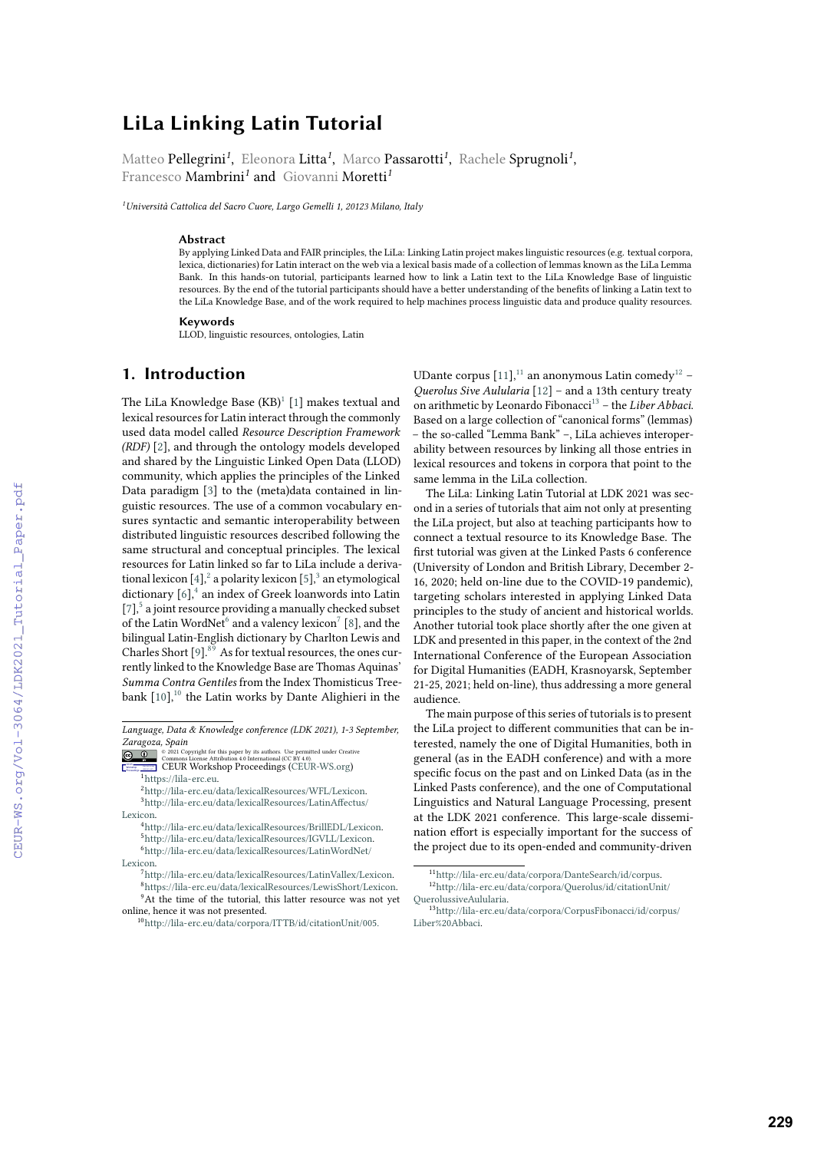# **LiLa Linking Latin Tutorial**

Matteo Pellegrini*<sup>1</sup>* , Eleonora Litta*<sup>1</sup>* , Marco Passarotti*<sup>1</sup>* , Rachele Sprugnoli*<sup>1</sup>* , Francesco Mambrini*<sup>1</sup>* and Giovanni Moretti*<sup>1</sup>*

*<sup>1</sup>Università Cattolica del Sacro Cuore, Largo Gemelli 1, 20123 Milano, Italy*

#### **Abstract**

By applying Linked Data and FAIR principles, the LiLa: Linking Latin project makes linguistic resources (e.g. textual corpora, lexica, dictionaries) for Latin interact on the web via a lexical basis made of a collection of lemmas known as the LiLa Lemma Bank. In this hands-on tutorial, participants learned how to link a Latin text to the LiLa Knowledge Base of linguistic resources. By the end of the tutorial participants should have a better understanding of the benefits of linking a Latin text to the LiLa Knowledge Base, and of the work required to help machines process linguistic data and produce quality resources.

#### **Keywords**

LLOD, linguistic resources, ontologies, Latin

### **1. Introduction**

The LiLa Knowledge Base  $\rm (KB)^1$  $\rm (KB)^1$   $[1]$  makes textual and lexical resources for Latin interact through the commonly used data model called *Resource Description Framework (RDF)* [\[2\]](#page--1-1), and through the ontology models developed and shared by the Linguistic Linked Open Data (LLOD) community, which applies the principles of the Linked Data paradigm [\[3\]](#page--1-2) to the (meta)data contained in linguistic resources. The use of a common vocabulary ensures syntactic and semantic interoperability between distributed linguistic resources described following the same structural and conceptual principles. The lexical resources for Latin linked so far to LiLa include a deriva-tional lexicon [\[4\]](#page--1-3), $^2$  $^2$  a polarity lexicon [\[5\]](#page--1-4), $^3$  $^3$  an etymological dictionary  $[6]$ ,<sup>[4](#page-0-3)</sup> an index of Greek loanwords into Latin [\[7\]](#page--1-6),<sup>[5](#page-0-4)</sup> a joint resource providing a manually checked subset of the Latin WordNet<sup>[6](#page-0-5)</sup> and a valency lexicon<sup>[7](#page-0-6)</sup> [\[8\]](#page--1-7), and the bilingual Latin-English dictionary by Charlton Lewis and Charles Short  $[9]$ .<sup>[8](#page-0-7)[9](#page-0-8)</sup> As for textual resources, the ones currently linked to the Knowledge Base are Thomas Aquinas' *Summa Contra Gentiles* from the Index Thomisticus Treebank  $[10]$ ,<sup>[10](#page-0-9)</sup> the Latin works by Dante Alighieri in the

- <span id="page-0-7"></span><span id="page-0-6"></span>[Lexicon.](http://lila-erc.eu/data/lexicalResources/LatinWordNet/Lexicon)
	- <sup>7</sup>[http://lila-erc.eu/data/lexicalResources/LatinVallex/Lexicon.](http://lila-erc.eu/data/lexicalResources/LatinVallex/Lexicon) <sup>8</sup>[https://lila-erc.eu/data/lexicalResources/LewisShort/Lexicon.](https://lila-erc.eu/data/lexicalResources/LewisShort/Lexicon) <sup>9</sup>At the time of the tutorial, this latter resource was not yet

UDante corpus  $[11]$ ,<sup>[11](#page-0-10)</sup> an anonymous Latin comedy<sup>[12](#page-0-11)</sup> -*Querolus Sive Aulularia* [\[12\]](#page--1-11) – and a 13th century treaty on arithmetic by Leonardo Fibonacci[13](#page-0-12) – the *Liber Abbaci*. Based on a large collection of "canonical forms" (lemmas) – the so-called "Lemma Bank" –, LiLa achieves interoperability between resources by linking all those entries in lexical resources and tokens in corpora that point to the same lemma in the LiLa collection.

The LiLa: Linking Latin Tutorial at LDK 2021 was second in a series of tutorials that aim not only at presenting the LiLa project, but also at teaching participants how to connect a textual resource to its Knowledge Base. The first tutorial was given at the Linked Pasts 6 conference (University of London and British Library, December 2- 16, 2020; held on-line due to the COVID-19 pandemic), targeting scholars interested in applying Linked Data principles to the study of ancient and historical worlds. Another tutorial took place shortly after the one given at LDK and presented in this paper, in the context of the 2nd International Conference of the European Association for Digital Humanities (EADH, Krasnoyarsk, September 21-25, 2021; held on-line), thus addressing a more general audience.

The main purpose of this series of tutorials is to present the LiLa project to different communities that can be interested, namely the one of Digital Humanities, both in general (as in the EADH conference) and with a more specific focus on the past and on Linked Data (as in the Linked Pasts conference), and the one of Computational Linguistics and Natural Language Processing, present at the LDK 2021 conference. This large-scale dissemination effort is especially important for the success of the project due to its open-ended and community-driven

*Language, Data & Knowledge conference (LDK 2021), 1-3 September, [Zaragoza](https://creativecommons.org/licenses/by/4.0), Spain* or 2021 ht for this paper by its authors. Use permitted under Creative

 $\circ$   $\circ$ 

<span id="page-0-0"></span>**Commons License Attribution 4.0 International (CC BY 4.0).**<br> **CEUR Workshop [Proceedings](http://ceur-ws.org) (**CEUR-WS.org)  $\frac{1}{1}$ [https://lila-erc.eu.](https://lila-erc.eu)

<span id="page-0-2"></span><span id="page-0-1"></span><sup>2</sup>[http://lila-erc.eu/data/lexicalResources/WFL/Lexicon.](http://lila-erc.eu/data/lexicalResources/WFL/Lexicon) <sup>3</sup>[http://lila-erc.eu/data/lexicalResources/LatinAffectus/](http://lila-erc.eu/data/lexicalResources/LatinAffectus/Lexicon) [Lexicon.](http://lila-erc.eu/data/lexicalResources/LatinAffectus/Lexicon)

<span id="page-0-5"></span><span id="page-0-4"></span><span id="page-0-3"></span><sup>4</sup>[http://lila-erc.eu/data/lexicalResources/BrillEDL/Lexicon.](http://lila-erc.eu/data/lexicalResources/BrillEDL/Lexicon) <sup>5</sup>[http://lila-erc.eu/data/lexicalResources/IGVLL/Lexicon.](http://lila-erc.eu/data/lexicalResources/IGVLL/Lexicon) <sup>6</sup>[http://lila-erc.eu/data/lexicalResources/LatinWordNet/](http://lila-erc.eu/data/lexicalResources/LatinWordNet/Lexicon)

<span id="page-0-9"></span><span id="page-0-8"></span>online, hence it was not presented. <sup>10</sup><http://lila-erc.eu/data/corpora/ITTB/id/citationUnit/005.>

<span id="page-0-11"></span><span id="page-0-10"></span><sup>11</sup>[http://lila-erc.eu/data/corpora/DanteSearch/id/corpus.](http://lila-erc.eu/data/corpora/DanteSearch/id/corpus) <sup>12</sup>[http://lila-erc.eu/data/corpora/Querolus/id/citationUnit/](http://lila-erc.eu/data/corpora/Querolus/id/citationUnit/QuerolussiveAulularia) [QuerolussiveAulularia.](http://lila-erc.eu/data/corpora/Querolus/id/citationUnit/QuerolussiveAulularia)

<span id="page-0-12"></span><sup>13</sup>[http://lila-erc.eu/data/corpora/CorpusFibonacci/id/corpus/](http://lila-erc.eu/data/corpora/CorpusFibonacci/id/corpus/Liber%20Abbaci) [Liber%20Abbaci.](http://lila-erc.eu/data/corpora/CorpusFibonacci/id/corpus/Liber%20Abbaci)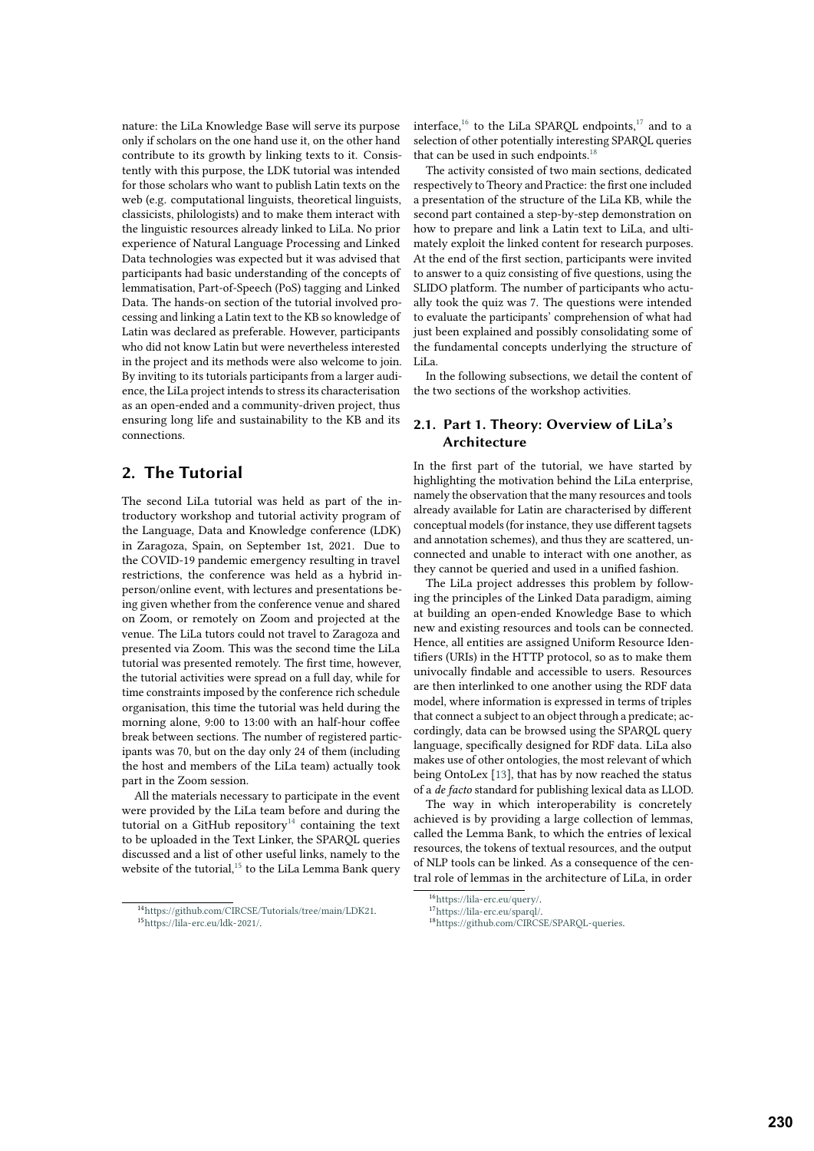nature: the LiLa Knowledge Base will serve its purpose only if scholars on the one hand use it, on the other hand contribute to its growth by linking texts to it. Consistently with this purpose, the LDK tutorial was intended for those scholars who want to publish Latin texts on the web (e.g. computational linguists, theoretical linguists, classicists, philologists) and to make them interact with the linguistic resources already linked to LiLa. No prior experience of Natural Language Processing and Linked Data technologies was expected but it was advised that participants had basic understanding of the concepts of lemmatisation, Part-of-Speech (PoS) tagging and Linked Data. The hands-on section of the tutorial involved processing and linking a Latin text to the KB so knowledge of Latin was declared as preferable. However, participants who did not know Latin but were nevertheless interested in the project and its methods were also welcome to join. By inviting to its tutorials participants from a larger audience, the LiLa project intends to stress its characterisation as an open-ended and a community-driven project, thus ensuring long life and sustainability to the KB and its connections.

## **2. The Tutorial**

The second LiLa tutorial was held as part of the introductory workshop and tutorial activity program of the Language, Data and Knowledge conference (LDK) in Zaragoza, Spain, on September 1st, 2021. Due to the COVID-19 pandemic emergency resulting in travel restrictions, the conference was held as a hybrid inperson/online event, with lectures and presentations being given whether from the conference venue and shared on Zoom, or remotely on Zoom and projected at the venue. The LiLa tutors could not travel to Zaragoza and presented via Zoom. This was the second time the LiLa tutorial was presented remotely. The first time, however, the tutorial activities were spread on a full day, while for time constraints imposed by the conference rich schedule organisation, this time the tutorial was held during the morning alone, 9:00 to 13:00 with an half-hour coffee break between sections. The number of registered participants was 70, but on the day only 24 of them (including the host and members of the LiLa team) actually took part in the Zoom session.

All the materials necessary to participate in the event were provided by the LiLa team before and during the tutorial on a GitHub repository<sup>[14](#page-1-0)</sup> containing the text to be uploaded in the Text Linker, the SPARQL queries discussed and a list of other useful links, namely to the website of the tutorial,<sup>[15](#page-1-1)</sup> to the LiLa Lemma Bank query

interface, $16$  to the LiLa SPARQL endpoints, $17$  and to a selection of other potentially interesting SPARQL queries that can be used in such endpoints. $18$ 

The activity consisted of two main sections, dedicated respectively to Theory and Practice: the first one included a presentation of the structure of the LiLa KB, while the second part contained a step-by-step demonstration on how to prepare and link a Latin text to LiLa, and ultimately exploit the linked content for research purposes. At the end of the first section, participants were invited to answer to a quiz consisting of five questions, using the SLIDO platform. The number of participants who actually took the quiz was 7. The questions were intended to evaluate the participants' comprehension of what had just been explained and possibly consolidating some of the fundamental concepts underlying the structure of LiLa.

In the following subsections, we detail the content of the two sections of the workshop activities.

### **2.1. Part 1. Theory: Overview of LiLa's Architecture**

In the first part of the tutorial, we have started by highlighting the motivation behind the LiLa enterprise, namely the observation that the many resources and tools already available for Latin are characterised by different conceptual models (for instance, they use different tagsets and annotation schemes), and thus they are scattered, unconnected and unable to interact with one another, as they cannot be queried and used in a unified fashion.

The LiLa project addresses this problem by following the principles of the Linked Data paradigm, aiming at building an open-ended Knowledge Base to which new and existing resources and tools can be connected. Hence, all entities are assigned Uniform Resource Identifiers (URIs) in the HTTP protocol, so as to make them univocally findable and accessible to users. Resources are then interlinked to one another using the RDF data model, where information is expressed in terms of triples that connect a subject to an object through a predicate; accordingly, data can be browsed using the SPARQL query language, specifically designed for RDF data. LiLa also makes use of other ontologies, the most relevant of which being OntoLex [\[13\]](#page-4-0), that has by now reached the status of a *de facto* standard for publishing lexical data as LLOD.

The way in which interoperability is concretely achieved is by providing a large collection of lemmas, called the Lemma Bank, to which the entries of lexical resources, the tokens of textual resources, and the output of NLP tools can be linked. As a consequence of the central role of lemmas in the architecture of LiLa, in order

<span id="page-1-1"></span><span id="page-1-0"></span><sup>14</sup>[https://github.com/CIRCSE/Tutorials/tree/main/LDK21.](https://github.com/CIRCSE/Tutorials/tree/main/LDK21) <sup>15</sup>[https://lila-erc.eu/ldk-2021/.](https://lila-erc.eu/ldk-2021/)

<span id="page-1-2"></span><sup>16</sup>[https://lila-erc.eu/query/.](https://lila-erc.eu/query/)

<span id="page-1-3"></span><sup>17</sup>[https://lila-erc.eu/sparql/.](https://lila-erc.eu/sparql/)

<span id="page-1-4"></span><sup>18</sup>[https://github.com/CIRCSE/SPARQL-queries.](https://github.com/CIRCSE/SPARQL-queries)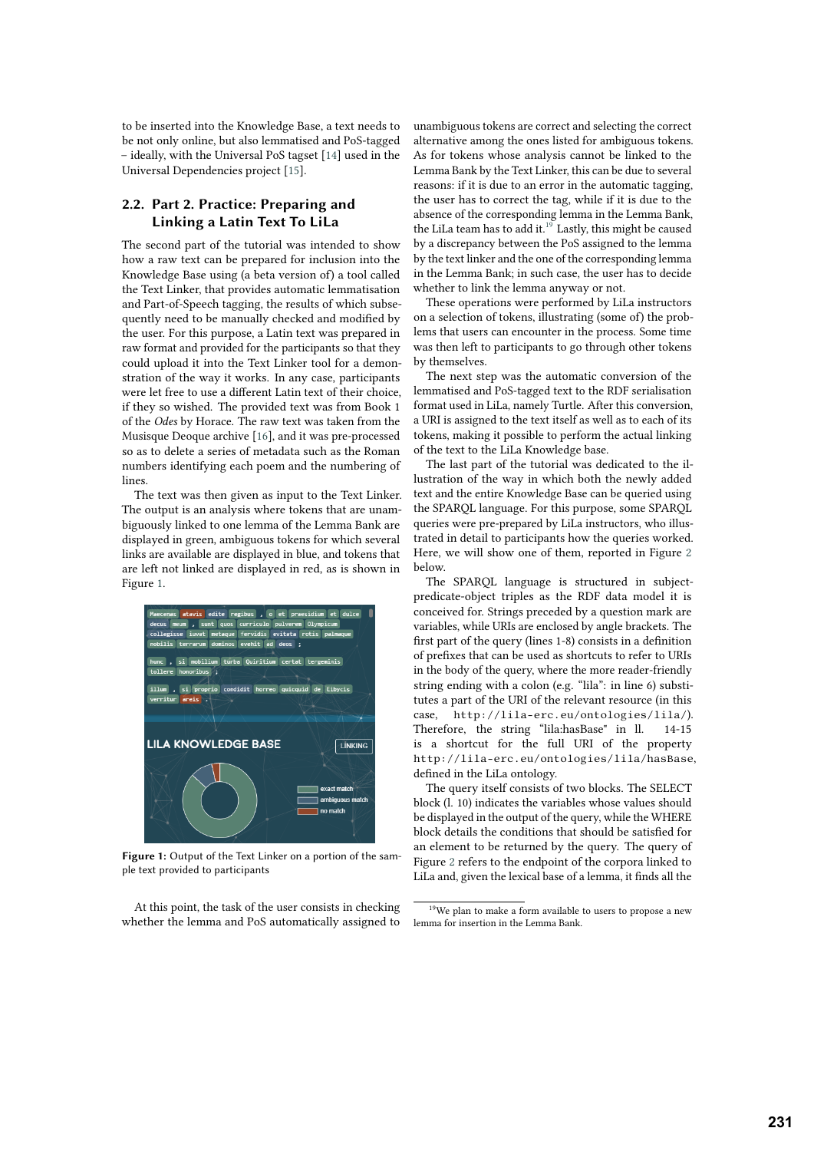to be inserted into the Knowledge Base, a text needs to be not only online, but also lemmatised and PoS-tagged – ideally, with the Universal PoS tagset [\[14\]](#page-4-1) used in the Universal Dependencies project [\[15\]](#page-4-2).

#### **2.2. Part 2. Practice: Preparing and Linking a Latin Text To LiLa**

The second part of the tutorial was intended to show how a raw text can be prepared for inclusion into the Knowledge Base using (a beta version of) a tool called the Text Linker, that provides automatic lemmatisation and Part-of-Speech tagging, the results of which subsequently need to be manually checked and modified by the user. For this purpose, a Latin text was prepared in raw format and provided for the participants so that they could upload it into the Text Linker tool for a demonstration of the way it works. In any case, participants were let free to use a different Latin text of their choice, if they so wished. The provided text was from Book 1 of the *Odes* by Horace. The raw text was taken from the Musisque Deoque archive [\[16\]](#page-4-3), and it was pre-processed so as to delete a series of metadata such as the Roman numbers identifying each poem and the numbering of lines.

The text was then given as input to the Text Linker. The output is an analysis where tokens that are unambiguously linked to one lemma of the Lemma Bank are displayed in green, ambiguous tokens for which several links are available are displayed in blue, and tokens that are left not linked are displayed in red, as is shown in Figure [1.](#page-2-0)



**Figure 1:** Output of the Text Linker on a portion of the sample text provided to participants

At this point, the task of the user consists in checking whether the lemma and PoS automatically assigned to unambiguous tokens are correct and selecting the correct alternative among the ones listed for ambiguous tokens. As for tokens whose analysis cannot be linked to the Lemma Bank by the Text Linker, this can be due to several reasons: if it is due to an error in the automatic tagging, the user has to correct the tag, while if it is due to the absence of the corresponding lemma in the Lemma Bank, the LiLa team has to add it.<sup>[19](#page-2-1)</sup> Lastly, this might be caused by a discrepancy between the PoS assigned to the lemma by the text linker and the one of the corresponding lemma in the Lemma Bank; in such case, the user has to decide whether to link the lemma anyway or not.

These operations were performed by LiLa instructors on a selection of tokens, illustrating (some of) the problems that users can encounter in the process. Some time was then left to participants to go through other tokens by themselves.

The next step was the automatic conversion of the lemmatised and PoS-tagged text to the RDF serialisation format used in LiLa, namely Turtle. After this conversion, a URI is assigned to the text itself as well as to each of its tokens, making it possible to perform the actual linking of the text to the LiLa Knowledge base.

The last part of the tutorial was dedicated to the illustration of the way in which both the newly added text and the entire Knowledge Base can be queried using the SPARQL language. For this purpose, some SPARQL queries were pre-prepared by LiLa instructors, who illustrated in detail to participants how the queries worked. Here, we will show one of them, reported in Figure [2](#page-3-0) below.

The SPARQL language is structured in subjectpredicate-object triples as the RDF data model it is conceived for. Strings preceded by a question mark are variables, while URIs are enclosed by angle brackets. The first part of the query (lines 1-8) consists in a definition of prefixes that can be used as shortcuts to refer to URIs in the body of the query, where the more reader-friendly string ending with a colon (e.g. "lila": in line 6) substitutes a part of the URI of the relevant resource (in this case, http://lila-erc.eu/ontologies/lila/). Therefore, the string "lila:hasBase" in ll. 14-15 is a shortcut for the full URI of the property http://lila-erc.eu/ontologies/lila/hasBase, defined in the LiLa ontology.

<span id="page-2-0"></span>The query itself consists of two blocks. The SELECT block (l. 10) indicates the variables whose values should be displayed in the output of the query, while the WHERE block details the conditions that should be satisfied for an element to be returned by the query. The query of Figure [2](#page-3-0) refers to the endpoint of the corpora linked to LiLa and, given the lexical base of a lemma, it finds all the

<span id="page-2-1"></span><sup>&</sup>lt;sup>19</sup>We plan to make a form available to users to propose a new lemma for insertion in the Lemma Bank.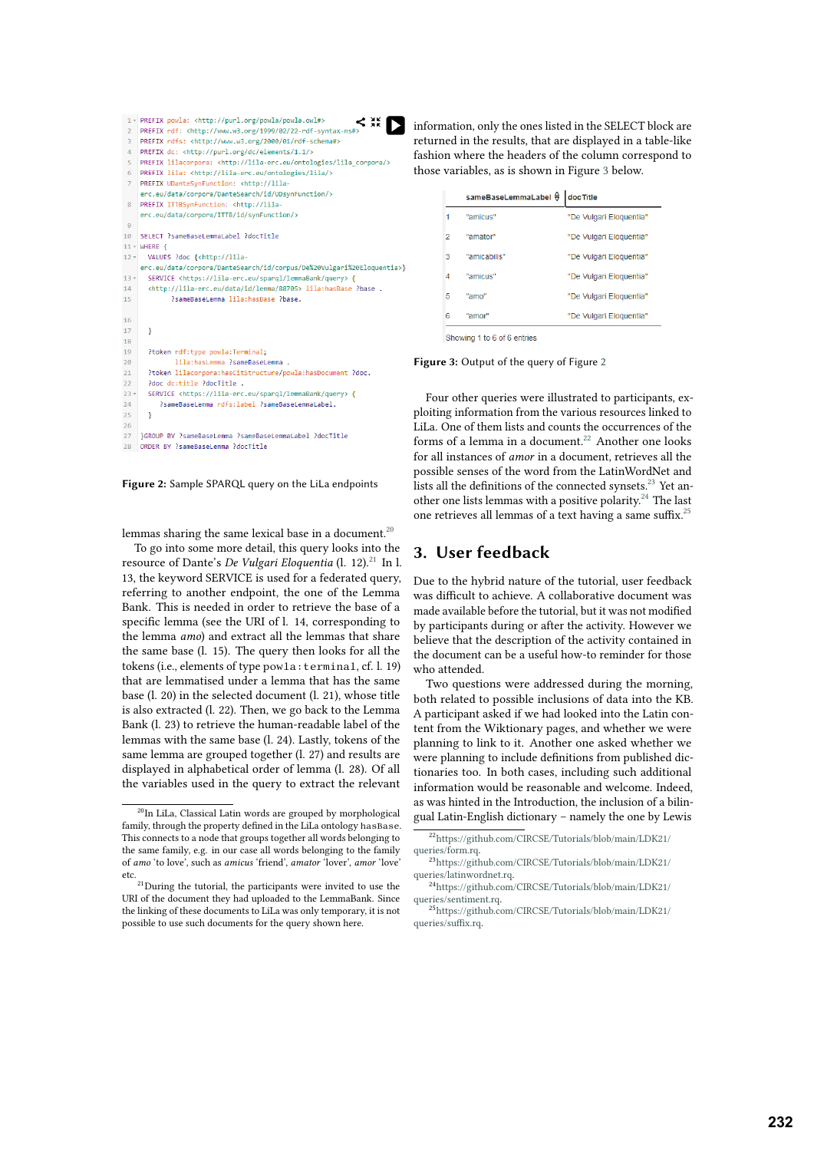```
\leq \frac{3k}{4}1 * PREFIX powla: <http://purl.org/powla/powla.owl#>
                                                                          Iъ
    PREFIX rdf: <http://www.w3.org/1999/02/22-rdf-syntax-ns
 \overline{2}PREFIX rdfs: <http://www.w3.org/2000/01/rdf-schema#>
    PREFIX dc: <http://purl.org/dc/elements/1.1/>
 \overline{A}PREFIX lilacorpora: <http://lila-erc.eu/ontologies/lila corpora/>
    PREFIX lila: <http://lila-erc.eu/ontologies/lila/>
    PREFIX UDanteSynFunction: <http://lila-
     erc.eu/data/cornora/DanteSearch/id/UDsynEunction/>
    PREFIX ITTBSynFunction: <http://lila-
     erc.eu/data/corpora/ITTB/id/synFunction/>
10 SELECT ?sameBaseLemmaLabel ?docTitle
11 - WHERE \{VALUES ?doc {<http://lila
12<sup>1</sup>erc.eu/data/corpora/DanteSearch/id/corpus/De%20Vulgari%20Eloquentia>}
13,SERVICE <https://lila-erc.eu/spargl/lemmaBank/query> {
      <http://lila-erc.eu/data/id/lemma/88705> lila:hasBase ?base .
1415?sameBaseLemma lila:hasBase ?base.
16
17\overline{\mathbf{r}}18
19
      ?token rdf:type powla:Terminal;
              lila: has Lemma ? sameBase Lemma .
20
\overline{21}?token lilacorpora:hasCitStructure/powla:hasDocument ?doc.
       Poor destitle PoorTitle
\overline{22}23 -SERVICE <https://lila-erc.eu/spargl/lemmaBank/query> {
\overline{24}?sameBaseLemma rdfs:label ?sameBaseLemmaLabel.
25\overline{26}27
    IGROUP BY ?sameBaseLemma ?sameBaseLemmaLabel ?docTitle
28 ORDER BY ?sameBaseLemma ?docTitle
```
<span id="page-3-0"></span>

lemmas sharing the same lexical base in a document.<sup>[20](#page-3-1)</sup>

To go into some more detail, this query looks into the resource of Dante's *De Vulgari Eloquentia* (l. 12).<sup>[21](#page-3-2)</sup> In l. 13, the keyword SERVICE is used for a federated query, referring to another endpoint, the one of the Lemma Bank. This is needed in order to retrieve the base of a specific lemma (see the URI of l. 14, corresponding to the lemma *amo*) and extract all the lemmas that share the same base (l. 15). The query then looks for all the tokens (i.e., elements of type powla:terminal, cf. l. 19) that are lemmatised under a lemma that has the same base (l. 20) in the selected document (l. 21), whose title is also extracted (l. 22). Then, we go back to the Lemma Bank (l. 23) to retrieve the human-readable label of the lemmas with the same base (l. 24). Lastly, tokens of the same lemma are grouped together (l. 27) and results are displayed in alphabetical order of lemma (l. 28). Of all the variables used in the query to extract the relevant information, only the ones listed in the SELECT block are returned in the results, that are displayed in a table-like fashion where the headers of the column correspond to those variables, as is shown in Figure [3](#page-3-3) below.

|   | sameBaseLemmaLabel ↔ | doc Title               |
|---|----------------------|-------------------------|
|   | "amicus"             | "De Vulgari Eloquentia" |
| 2 | "amator"             | "De Vulgari Eloquentia" |
| з | "amicabilis"         | "De Vulgari Eloquentia" |
| Δ | "amicus"             | "De Vulgari Eloquentia" |
| 5 | "amo"                | "De Vulgari Eloquentia" |
| 6 | "amor"               | "De Vulgari Eloquentia" |
|   |                      |                         |

<span id="page-3-3"></span>Showing 1 to 6 of 6 entries

**Figure 3:** Output of the query of Figure [2](#page-3-0)

Four other queries were illustrated to participants, exploiting information from the various resources linked to LiLa. One of them lists and counts the occurrences of the forms of a lemma in a document.<sup>[22](#page-3-4)</sup> Another one looks for all instances of *amor* in a document, retrieves all the possible senses of the word from the LatinWordNet and lists all the definitions of the connected synsets.<sup>[23](#page-3-5)</sup> Yet another one lists lemmas with a positive polarity.[24](#page-3-6) The last one retrieves all lemmas of a text having a same suffix.[25](#page-3-7)

### **3. User feedback**

Due to the hybrid nature of the tutorial, user feedback was difficult to achieve. A collaborative document was made available before the tutorial, but it was not modified by participants during or after the activity. However we believe that the description of the activity contained in the document can be a useful how-to reminder for those who attended.

Two questions were addressed during the morning, both related to possible inclusions of data into the KB. A participant asked if we had looked into the Latin content from the Wiktionary pages, and whether we were planning to link to it. Another one asked whether we were planning to include definitions from published dictionaries too. In both cases, including such additional information would be reasonable and welcome. Indeed, as was hinted in the Introduction, the inclusion of a bilingual Latin-English dictionary – namely the one by Lewis

<span id="page-3-1"></span><sup>20</sup>In LiLa, Classical Latin words are grouped by morphological family, through the property defined in the LiLa ontology hasBase. This connects to a node that groups together all words belonging to the same family, e.g. in our case all words belonging to the family of *amo* 'to love', such as *amicus* 'friend', *amator* 'lover', *amor* 'love' etc.

<span id="page-3-2"></span><sup>&</sup>lt;sup>21</sup>During the tutorial, the participants were invited to use the URI of the document they had uploaded to the LemmaBank. Since the linking of these documents to LiLa was only temporary, it is not possible to use such documents for the query shown here.

<span id="page-3-4"></span><sup>22</sup>[https://github.com/CIRCSE/Tutorials/blob/main/LDK21/](https://github.com/CIRCSE/Tutorials/blob/main/LDK21/queries/form.rq) [queries/form.rq.](https://github.com/CIRCSE/Tutorials/blob/main/LDK21/queries/form.rq)

<span id="page-3-5"></span><sup>23</sup>[https://github.com/CIRCSE/Tutorials/blob/main/LDK21/](https://github.com/CIRCSE/Tutorials/blob/main/LDK21/queries/latinwordnet.rq) [queries/latinwordnet.rq.](https://github.com/CIRCSE/Tutorials/blob/main/LDK21/queries/latinwordnet.rq)

<span id="page-3-6"></span><sup>24</sup>[https://github.com/CIRCSE/Tutorials/blob/main/LDK21/](https://github.com/CIRCSE/Tutorials/blob/main/LDK21/queries/sentiment.rq) [queries/sentiment.rq.](https://github.com/CIRCSE/Tutorials/blob/main/LDK21/queries/sentiment.rq)

<span id="page-3-7"></span><sup>25</sup>[https://github.com/CIRCSE/Tutorials/blob/main/LDK21/](https://github.com/CIRCSE/Tutorials/blob/main/LDK21/queries/suffix.rq) [queries/suffix.rq.](https://github.com/CIRCSE/Tutorials/blob/main/LDK21/queries/suffix.rq)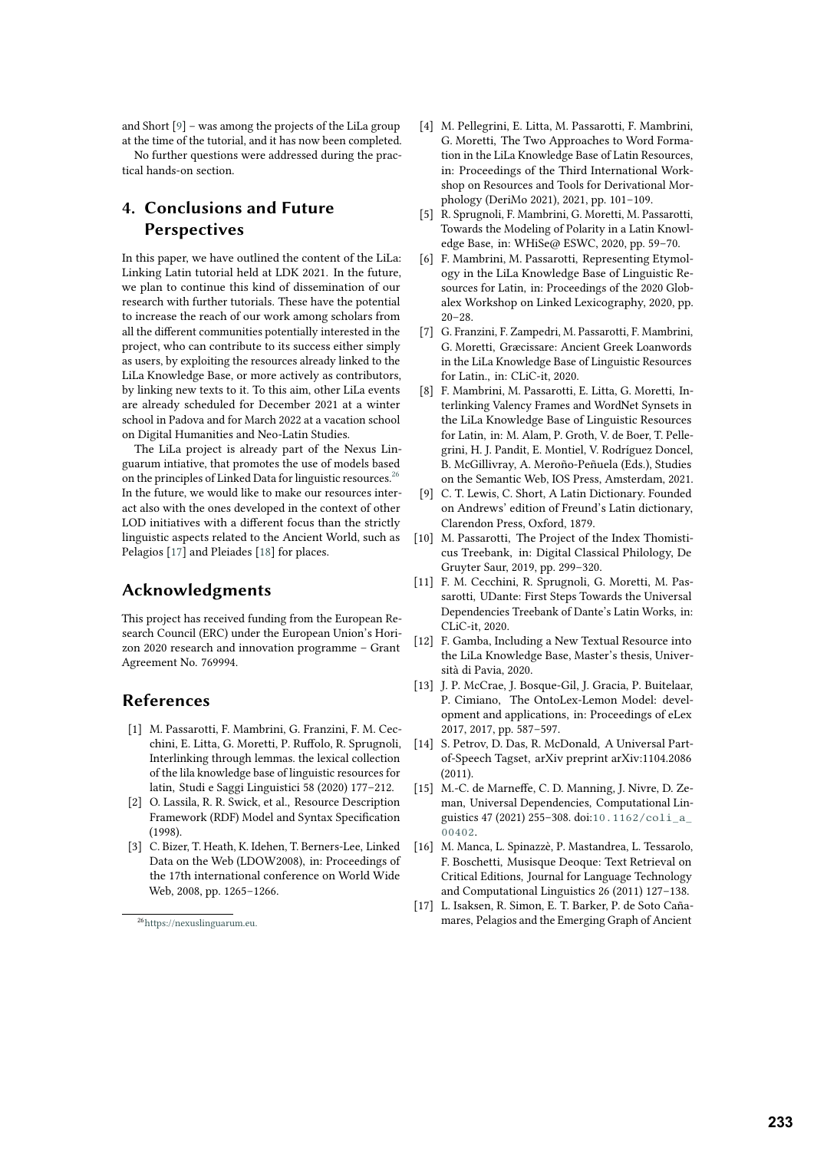and Short [\[9\]](#page-4-4) – was among the projects of the LiLa group at the time of the tutorial, and it has now been completed.

No further questions were addressed during the practical hands-on section.

## **4. Conclusions and Future Perspectives**

In this paper, we have outlined the content of the LiLa: Linking Latin tutorial held at LDK 2021. In the future, we plan to continue this kind of dissemination of our research with further tutorials. These have the potential to increase the reach of our work among scholars from all the different communities potentially interested in the project, who can contribute to its success either simply as users, by exploiting the resources already linked to the LiLa Knowledge Base, or more actively as contributors, by linking new texts to it. To this aim, other LiLa events are already scheduled for December 2021 at a winter school in Padova and for March 2022 at a vacation school on Digital Humanities and Neo-Latin Studies.

The LiLa project is already part of the Nexus Linguarum intiative, that promotes the use of models based on the principles of Linked Data for linguistic resources.<sup>[26](#page-4-5)</sup> In the future, we would like to make our resources interact also with the ones developed in the context of other LOD initiatives with a different focus than the strictly linguistic aspects related to the Ancient World, such as Pelagios [\[17\]](#page-4-6) and Pleiades [\[18\]](#page-5-0) for places.

### **Acknowledgments**

This project has received funding from the European Research Council (ERC) under the European Union's Horizon 2020 research and innovation programme – Grant Agreement No. 769994.

### **References**

- [1] M. Passarotti, F. Mambrini, G. Franzini, F. M. Cecchini, E. Litta, G. Moretti, P. Ruffolo, R. Sprugnoli, Interlinking through lemmas. the lexical collection of the lila knowledge base of linguistic resources for latin, Studi e Saggi Linguistici 58 (2020) 177–212.
- [2] O. Lassila, R. R. Swick, et al., Resource Description Framework (RDF) Model and Syntax Specification (1998).
- [3] C. Bizer, T. Heath, K. Idehen, T. Berners-Lee, Linked Data on the Web (LDOW2008), in: Proceedings of the 17th international conference on World Wide Web, 2008, pp. 1265–1266.
- [4] M. Pellegrini, E. Litta, M. Passarotti, F. Mambrini, G. Moretti, The Two Approaches to Word Formation in the LiLa Knowledge Base of Latin Resources, in: Proceedings of the Third International Workshop on Resources and Tools for Derivational Morphology (DeriMo 2021), 2021, pp. 101–109.
- [5] R. Sprugnoli, F. Mambrini, G. Moretti, M. Passarotti, Towards the Modeling of Polarity in a Latin Knowledge Base, in: WHiSe@ ESWC, 2020, pp. 59–70.
- [6] F. Mambrini, M. Passarotti, Representing Etymology in the LiLa Knowledge Base of Linguistic Resources for Latin, in: Proceedings of the 2020 Globalex Workshop on Linked Lexicography, 2020, pp.  $20 - 28$ .
- [7] G. Franzini, F. Zampedri, M. Passarotti, F. Mambrini, G. Moretti, Græcissare: Ancient Greek Loanwords in the LiLa Knowledge Base of Linguistic Resources for Latin., in: CLiC-it, 2020.
- [8] F. Mambrini, M. Passarotti, E. Litta, G. Moretti, Interlinking Valency Frames and WordNet Synsets in the LiLa Knowledge Base of Linguistic Resources for Latin, in: M. Alam, P. Groth, V. de Boer, T. Pellegrini, H. J. Pandit, E. Montiel, V. Rodríguez Doncel, B. McGillivray, A. Meroño-Peñuela (Eds.), Studies on the Semantic Web, IOS Press, Amsterdam, 2021.
- <span id="page-4-4"></span>[9] C. T. Lewis, C. Short, A Latin Dictionary. Founded on Andrews' edition of Freund's Latin dictionary, Clarendon Press, Oxford, 1879.
- [10] M. Passarotti, The Project of the Index Thomisticus Treebank, in: Digital Classical Philology, De Gruyter Saur, 2019, pp. 299–320.
- [11] F. M. Cecchini, R. Sprugnoli, G. Moretti, M. Passarotti, UDante: First Steps Towards the Universal Dependencies Treebank of Dante's Latin Works, in: CLiC-it, 2020.
- [12] F. Gamba, Including a New Textual Resource into the LiLa Knowledge Base, Master's thesis, Università di Pavia, 2020.
- <span id="page-4-0"></span>[13] J. P. McCrae, J. Bosque-Gil, J. Gracia, P. Buitelaar, P. Cimiano, The OntoLex-Lemon Model: development and applications, in: Proceedings of eLex 2017, 2017, pp. 587–597.
- <span id="page-4-1"></span>[14] S. Petrov, D. Das, R. McDonald, A Universal Partof-Speech Tagset, arXiv preprint arXiv:1104.2086  $(2011)$
- <span id="page-4-2"></span>[15] M.-C. de Marneffe, C. D. Manning, J. Nivre, D. Zeman, Universal Dependencies, Computational Linguistics 47 (2021) 255–308. doi:10.1162/coli\_a [00402](http://dx.doi.org/10.1162/coli_a_00402).
- <span id="page-4-3"></span>[16] M. Manca, L. Spinazzè, P. Mastandrea, L. Tessarolo, F. Boschetti, Musisque Deoque: Text Retrieval on Critical Editions, Journal for Language Technology and Computational Linguistics 26 (2011) 127–138.
- <span id="page-4-6"></span>[17] L. Isaksen, R. Simon, E. T. Barker, P. de Soto Cañamares, Pelagios and the Emerging Graph of Ancient

<span id="page-4-5"></span><sup>26</sup><https://nexuslinguarum.eu.>